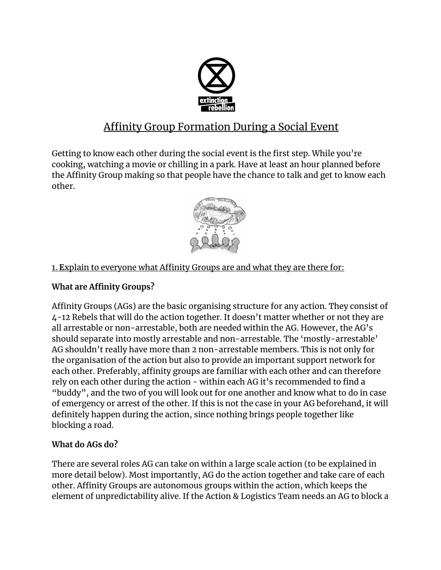

# Affinity Group Formation During a Social Event

Getting to know each other during the social event is the first step. While you're cooking, watching a movie or chilling in a park. Have at least an hour planned before the Affinity Group making so that people have the chance to talk and get to know each other.



# 1. **E**xplain to everyone what Affinity Groups are and what they are there for:

## **What are Affinity Groups?**

Affinity Groups (AGs) are the basic organising structure for any action. They consist of 4-12 Rebels that will do the action together. It doesn't matter whether or not they are all arrestable or non-arrestable, both are needed within the AG. However, the AG's should separate into mostly arrestable and non-arrestable. The 'mostly-arrestable' AG shouldn't really have more than 2 non-arrestable members. This is not only for the organisation of the action but also to provide an important support network for each other. Preferably, affinity groups are familiar with each other and can therefore rely on each other during the action - within each AG it's recommended to find a "buddy", and the two of you will look out for one another and know what to do in case of emergency or arrest of the other. If this is not the case in your AG beforehand, it will definitely happen during the action, since nothing brings people together like blocking a road.

#### **What do AGs do?**

There are several roles AG can take on within a large scale action (to be explained in more detail below). Most importantly, AG do the action together and take care of each other. Affinity Groups are autonomous groups within the action, which keeps the element of unpredictability alive. If the Action & Logistics Team needs an AG to block a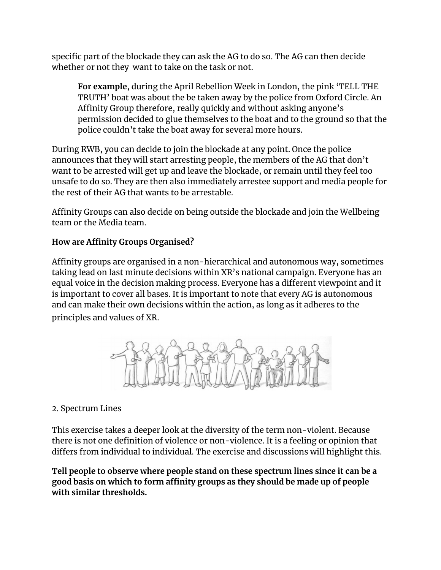specific part of the blockade they can ask the AG to do so. The AG can then decide whether or not they want to take on the task or not.

**For example**, during the April Rebellion Week in London, the pink 'TELL THE TRUTH' boat was about the be taken away by the police from Oxford Circle. An Affinity Group therefore, really quickly and without asking anyone's permission decided to glue themselves to the boat and to the ground so that the police couldn't take the boat away for several more hours.

During RWB, you can decide to join the blockade at any point. Once the police announces that they will start arresting people, the members of the AG that don't want to be arrested will get up and leave the blockade, or remain until they feel too unsafe to do so. They are then also immediately arrestee support and media people for the rest of their AG that wants to be arrestable.

Affinity Groups can also decide on being outside the blockade and join the Wellbeing team or the Media team.

## **How are Affinity Groups Organised?**

Affinity groups are organised in a non-hierarchical and autonomous way, sometimes taking lead on last minute decisions within XR's national campaign. Everyone has an equal voice in the decision making process. Everyone has a different viewpoint and it is important to cover all bases. It is important to note that every AG is autonomous and can make their own decisions within the action, as long as it adheres to the principles and values of XR.



#### 2. Spectrum Lines

This exercise takes a deeper look at the diversity of the term non-violent. Because there is not one definition of violence or non-violence. It is a feeling or opinion that differs from individual to individual. The exercise and discussions will highlight this.

**Tell people to observe where people stand on these spectrum lines since it can be a good basis on which to form affinity groups as they should be made up of people with similar thresholds.**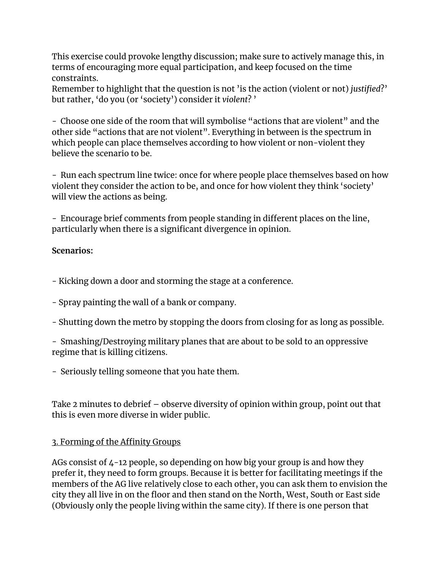This exercise could provoke lengthy discussion; make sure to actively manage this, in terms of encouraging more equal participation, and keep focused on the time constraints.

Remember to highlight that the question is not 'is the action (violent or not) *justified*?' but rather, 'do you (or 'society') consider it *violent*? '

- Choose one side of the room that will symbolise "actions that are violent" and the other side "actions that are not violent". Everything in between is the spectrum in which people can place themselves according to how violent or non-violent they believe the scenario to be.

- Run each spectrum line twice: once for where people place themselves based on how violent they consider the action to be, and once for how violent they think 'society' will view the actions as being.

- Encourage brief comments from people standing in different places on the line, particularly when there is a significant divergence in opinion.

#### **Scenarios:**

- Kicking down a door and storming the stage at a conference.

- Spray painting the wall of a bank or company.

- Shutting down the metro by stopping the doors from closing for as long as possible.

- Smashing/Destroying military planes that are about to be sold to an oppressive regime that is killing citizens.

- Seriously telling someone that you hate them.

Take 2 minutes to debrief – observe diversity of opinion within group, point out that this is even more diverse in wider public.

#### 3. Forming of the Affinity Groups

AGs consist of 4-12 people, so depending on how big your group is and how they prefer it, they need to form groups. Because it is better for facilitating meetings if the members of the AG live relatively close to each other, you can ask them to envision the city they all live in on the floor and then stand on the North, West, South or East side (Obviously only the people living within the same city). If there is one person that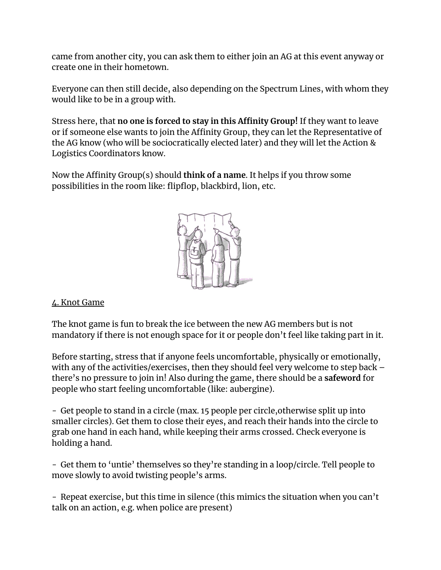came from another city, you can ask them to either join an AG at this event anyway or create one in their hometown.

Everyone can then still decide, also depending on the Spectrum Lines, with whom they would like to be in a group with.

Stress here, that **no one is forced to stay in this Affinity Group!** If they want to leave or if someone else wants to join the Affinity Group, they can let the Representative of the AG know (who will be sociocratically elected later) and they will let the Action & Logistics Coordinators know.

Now the Affinity Group(s) should **think of a name**. It helps if you throw some possibilities in the room like: flipflop, blackbird, lion, etc.



#### 4. Knot Game

The knot game is fun to break the ice between the new AG members but is not mandatory if there is not enough space for it or people don't feel like taking part in it.

Before starting, stress that if anyone feels uncomfortable, physically or emotionally, with any of the activities/exercises, then they should feel very welcome to step back – there's no pressure to join in! Also during the game, there should be a **safeword** for people who start feeling uncomfortable (like: aubergine).

- Get people to stand in a circle (max. 15 people per circle,otherwise split up into smaller circles). Get them to close their eyes, and reach their hands into the circle to grab one hand in each hand**,** while keeping their arms crossed**.** Check everyone is holding a hand.

- Get them to 'untie' themselves so they're standing in a loop/circle. Tell people to move slowly to avoid twisting people's arms.

- Repeat exercise, but this time in silence (this mimics the situation when you can't talk on an action, e.g. when police are present)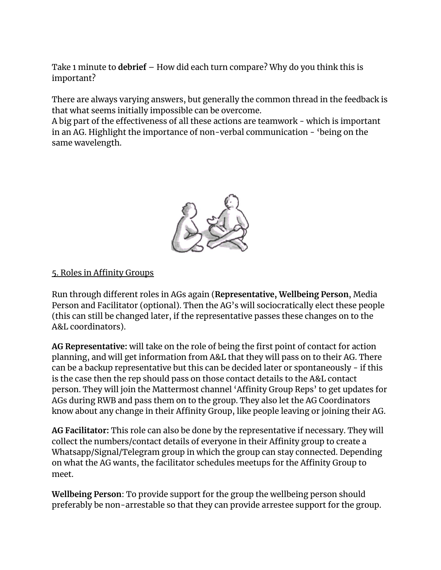Take 1 minute to **debrief** – How did each turn compare? Why do you think this is important?

There are always varying answers, but generally the common thread in the feedback is that what seems initially impossible can be overcome.

A big part of the effectiveness of all these actions are teamwork - which is important in an AG. Highlight the importance of non-verbal communication - 'being on the same wavelength.



#### 5. Roles in Affinity Groups

Run through different roles in AGs again (**Representative, Wellbeing Person**, Media Person and Facilitator (optional). Then the AG's will sociocratically elect these people (this can still be changed later, if the representative passes these changes on to the A&L coordinators).

**AG Representative:** will take on the role of being the first point of contact for action planning, and will get information from A&L that they will pass on to their AG. There can be a backup representative but this can be decided later or spontaneously - if this is the case then the rep should pass on those contact details to the A&L contact person. They will join the Mattermost channel 'Affinity Group Reps' to get updates for AGs during RWB and pass them on to the group. They also let the AG Coordinators know about any change in their Affinity Group, like people leaving or joining their AG.

**AG Facilitator:** This role can also be done by the representative if necessary. They will collect the numbers/contact details of everyone in their Affinity group to create a Whatsapp/Signal/Telegram group in which the group can stay connected. Depending on what the AG wants, the facilitator schedules meetups for the Affinity Group to meet.

**Wellbeing Person**: To provide support for the group the wellbeing person should preferably be non-arrestable so that they can provide arrestee support for the group.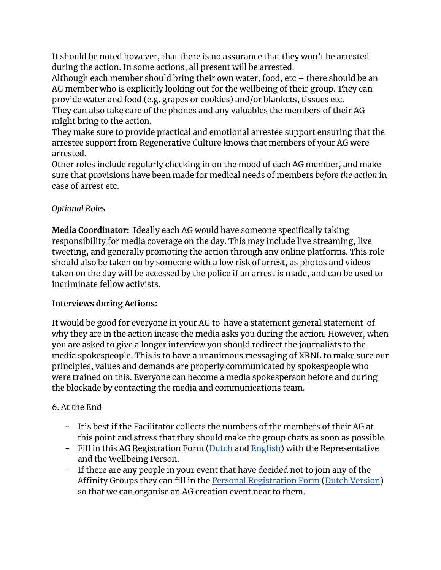It should be noted however, that there is no assurance that they won't be arrested during the action. In some actions, all present will be arrested.

Although each member should bring their own water, food, etc – there should be an AG member who is explicitly looking out for the wellbeing of their group. They can provide water and food (e.g. grapes or cookies) and/or blankets, tissues etc. They can also take care of the phones and any valuables the members of their AG might bring to the action.

They make sure to provide practical and emotional arrestee support ensuring that the arrestee support from Regenerative Culture knows that members of your AG were arrested.

Other roles include regularly checking in on the mood of each AG member, and make sure that provisions have been made for medical needs of members *before the action* in case of arrest etc.

## *Optional Roles*

**Media Coordinator:** Ideally each AG would have someone specifically taking responsibility for media coverage on the day. This may include live streaming, live tweeting, and generally promoting the action through any online platforms. This role should also be taken on by someone with a low risk of arrest, as photos and videos taken on the day will be accessed by the police if an arrest is made, and can be used to incriminate fellow activists.

#### **Interviews during Actions:**

It would be good for everyone in your AG to have a statement general statement of why they are in the action incase the media asks you during the action. However, when you are asked to give a longer interview you should redirect the journalists to the media spokespeople. This is to have a unanimous messaging of XRNL to make sure our principles, values and demands are properly communicated by spokespeople who were trained on this. Everyone can become a media spokesperson before and during the blockade by contacting the media and communications team.

#### 6. At the End

- It's best if the Facilitator collects the numbers of the members of their AG at this point and stress that they should make the group chats as soon as possible.
- Fill in this AG Registration Form [\(Dutch](http://tiny.cc/dh9ejz) and [English](http://tiny.cc/w68ejz)) with the Representative and the Wellbeing Person.
- If there are any people in your event that have decided not to join any of the Affinity Groups they can fill in the **Personal [Registration](https://actionnetwork.org/forms/ag_sluitjeaan_xrnl/) Form (Dutch [Version](https://actionnetwork.org/forms/ag_join_xrnl))** so that we can organise an AG creation event near to them.